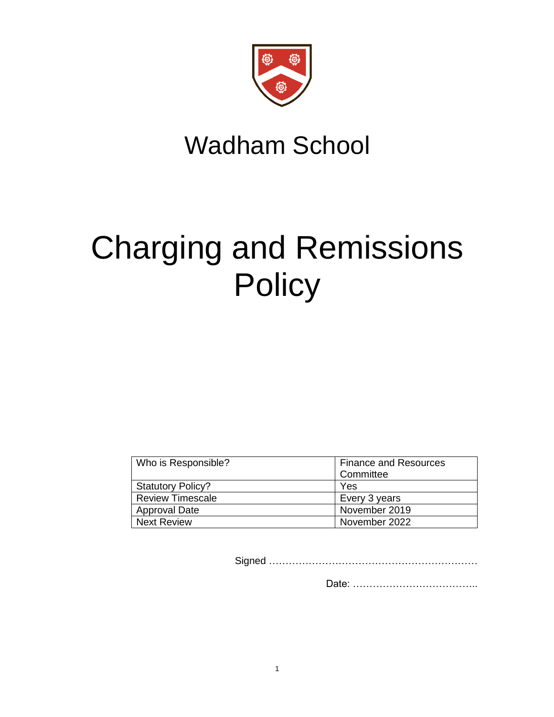

# Wadham School

# Charging and Remissions **Policy**

| Who is Responsible?      | <b>Finance and Resources</b> |
|--------------------------|------------------------------|
|                          | Committee                    |
| <b>Statutory Policy?</b> | Yes                          |
| <b>Review Timescale</b>  | Every 3 years                |
| <b>Approval Date</b>     | November 2019                |
| <b>Next Review</b>       | November 2022                |

Signed ………………………………………………………

Date: ………………………………..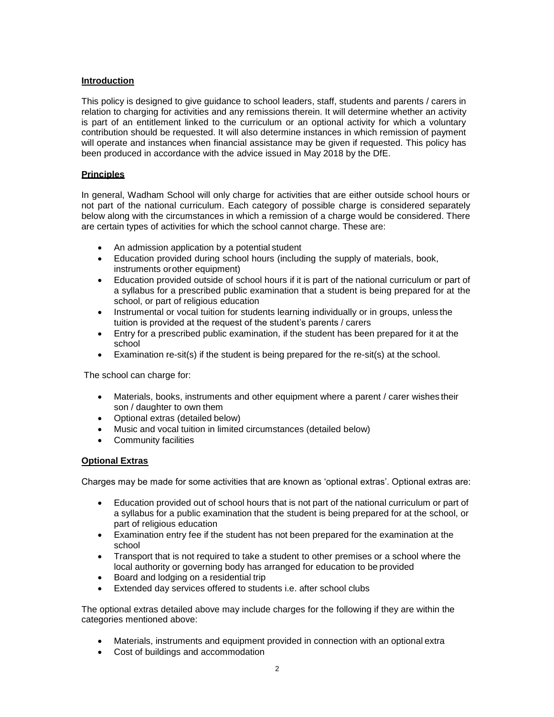#### **Introduction**

This policy is designed to give guidance to school leaders, staff, students and parents / carers in relation to charging for activities and any remissions therein. It will determine whether an activity is part of an entitlement linked to the curriculum or an optional activity for which a voluntary contribution should be requested. It will also determine instances in which remission of payment will operate and instances when financial assistance may be given if requested. This policy has been produced in accordance with the advice issued in May 2018 by the DfE.

#### **Principles**

In general, Wadham School will only charge for activities that are either outside school hours or not part of the national curriculum. Each category of possible charge is considered separately below along with the circumstances in which a remission of a charge would be considered. There are certain types of activities for which the school cannot charge. These are:

- An admission application by a potential student
- Education provided during school hours (including the supply of materials, book, instruments orother equipment)
- Education provided outside of school hours if it is part of the national curriculum or part of a syllabus for a prescribed public examination that a student is being prepared for at the school, or part of religious education
- Instrumental or vocal tuition for students learning individually or in groups, unless the tuition is provided at the request of the student's parents / carers
- Entry for a prescribed public examination, if the student has been prepared for it at the school
- Examination re-sit(s) if the student is being prepared for the re-sit(s) at the school.

The school can charge for:

- Materials, books, instruments and other equipment where a parent / carer wishes their son / daughter to own them
- Optional extras (detailed below)
- Music and vocal tuition in limited circumstances (detailed below)
- Community facilities

#### **Optional Extras**

Charges may be made for some activities that are known as 'optional extras'. Optional extras are:

- Education provided out of school hours that is not part of the national curriculum or part of a syllabus for a public examination that the student is being prepared for at the school, or part of religious education
- Examination entry fee if the student has not been prepared for the examination at the school
- Transport that is not required to take a student to other premises or a school where the local authority or governing body has arranged for education to be provided
- Board and lodging on a residential trip
- Extended day services offered to students i.e. after school clubs

The optional extras detailed above may include charges for the following if they are within the categories mentioned above:

- Materials, instruments and equipment provided in connection with an optional extra
- Cost of buildings and accommodation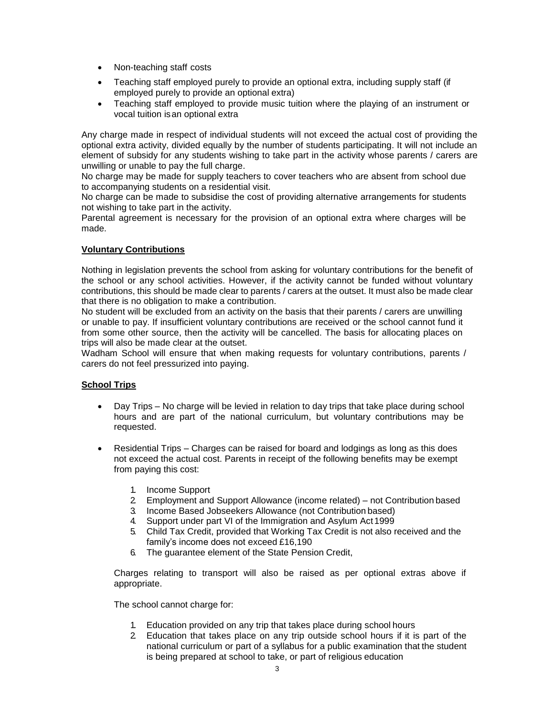- Non-teaching staff costs
- Teaching staff employed purely to provide an optional extra, including supply staff (if employed purely to provide an optional extra)
- Teaching staff employed to provide music tuition where the playing of an instrument or vocal tuition isan optional extra

Any charge made in respect of individual students will not exceed the actual cost of providing the optional extra activity, divided equally by the number of students participating. It will not include an element of subsidy for any students wishing to take part in the activity whose parents / carers are unwilling or unable to pay the full charge.

No charge may be made for supply teachers to cover teachers who are absent from school due to accompanying students on a residential visit.

No charge can be made to subsidise the cost of providing alternative arrangements for students not wishing to take part in the activity.

Parental agreement is necessary for the provision of an optional extra where charges will be made.

# **Voluntary Contributions**

Nothing in legislation prevents the school from asking for voluntary contributions for the benefit of the school or any school activities. However, if the activity cannot be funded without voluntary contributions, this should be made clear to parents / carers at the outset. It must also be made clear that there is no obligation to make a contribution.

No student will be excluded from an activity on the basis that their parents / carers are unwilling or unable to pay. If insufficient voluntary contributions are received or the school cannot fund it from some other source, then the activity will be cancelled. The basis for allocating places on trips will also be made clear at the outset.

Wadham School will ensure that when making requests for voluntary contributions, parents / carers do not feel pressurized into paying.

# **School Trips**

- Day Trips No charge will be levied in relation to day trips that take place during school hours and are part of the national curriculum, but voluntary contributions may be requested.
- Residential Trips Charges can be raised for board and lodgings as long as this does not exceed the actual cost. Parents in receipt of the following benefits may be exempt from paying this cost:
	- 1. Income Support
	- 2. Employment and Support Allowance (income related) not Contribution based
	- 3. Income Based Jobseekers Allowance (not Contribution based)
	- 4. Support under part VI of the Immigration and Asylum Act1999
	- 5. Child Tax Credit, provided that Working Tax Credit is not also received and the family's income does not exceed £16,190
	- 6. The guarantee element of the State Pension Credit,

Charges relating to transport will also be raised as per optional extras above if appropriate.

The school cannot charge for:

- Education provided on any trip that takes place during school hours
- 2. Education that takes place on any trip outside school hours if it is part of the national curriculum or part of a syllabus for a public examination that the student is being prepared at school to take, or part of religious education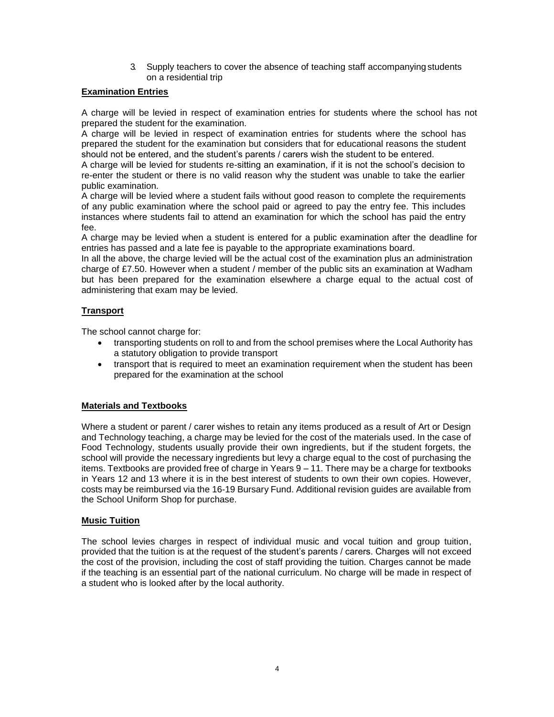3. Supply teachers to cover the absence of teaching staff accompanying students on a residential trip

# **Examination Entries**

A charge will be levied in respect of examination entries for students where the school has not prepared the student for the examination.

A charge will be levied in respect of examination entries for students where the school has prepared the student for the examination but considers that for educational reasons the student should not be entered, and the student's parents / carers wish the student to be entered.

A charge will be levied for students re-sitting an examination, if it is not the school's decision to re-enter the student or there is no valid reason why the student was unable to take the earlier public examination.

A charge will be levied where a student fails without good reason to complete the requirements of any public examination where the school paid or agreed to pay the entry fee. This includes instances where students fail to attend an examination for which the school has paid the entry fee.

A charge may be levied when a student is entered for a public examination after the deadline for entries has passed and a late fee is payable to the appropriate examinations board.

In all the above, the charge levied will be the actual cost of the examination plus an administration charge of £7.50. However when a student / member of the public sits an examination at Wadham but has been prepared for the examination elsewhere a charge equal to the actual cost of administering that exam may be levied.

# **Transport**

The school cannot charge for:

- transporting students on roll to and from the school premises where the Local Authority has a statutory obligation to provide transport
- transport that is required to meet an examination requirement when the student has been prepared for the examination at the school

# **Materials and Textbooks**

Where a student or parent / carer wishes to retain any items produced as a result of Art or Design and Technology teaching, a charge may be levied for the cost of the materials used. In the case of Food Technology, students usually provide their own ingredients, but if the student forgets, the school will provide the necessary ingredients but levy a charge equal to the cost of purchasing the items. Textbooks are provided free of charge in Years 9 – 11. There may be a charge for textbooks in Years 12 and 13 where it is in the best interest of students to own their own copies. However, costs may be reimbursed via the 16-19 Bursary Fund. Additional revision guides are available from the School Uniform Shop for purchase.

# **Music Tuition**

The school levies charges in respect of individual music and vocal tuition and group tuition, provided that the tuition is at the request of the student's parents / carers. Charges will not exceed the cost of the provision, including the cost of staff providing the tuition. Charges cannot be made if the teaching is an essential part of the national curriculum. No charge will be made in respect of a student who is looked after by the local authority.